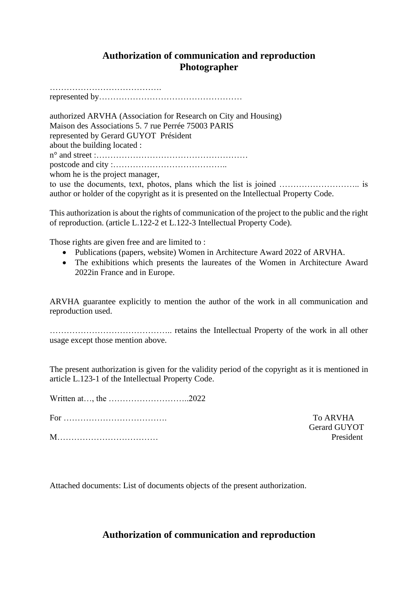# **Authorization of communication and reproduction Photographer**

………………………………….

represented by……………………………………………

authorized ARVHA (Association for Research on City and Housing) Maison des Associations 5. 7 rue Perrée 75003 PARIS represented by Gerard GUYOT Président about the building located : n° and street :……………………………………………… postcode and city :………………………………….. whom he is the project manager,

to use the documents, text, photos, plans which the list is joined ……………………….. is author or holder of the copyright as it is presented on the Intellectual Property Code.

This authorization is about the rights of communication of the project to the public and the right of reproduction. (article L.122-2 et L.122-3 Intellectual Property Code).

Those rights are given free and are limited to :

- Publications (papers, website) Women in Architecture Award 2022 of ARVHA.
- The exhibitions which presents the laureates of the Women in Architecture Award 2022in France and in Europe.

ARVHA guarantee explicitly to mention the author of the work in all communication and reproduction used.

…………………………………….. retains the Intellectual Property of the work in all other usage except those mention above.

The present authorization is given for the validity period of the copyright as it is mentioned in article L.123-1 of the Intellectual Property Code.

Written at…, the ………………………..2022

For ………………………………. To ARVHA

M……………………………… President

Gerard GUYOT

Attached documents: List of documents objects of the present authorization.

### **Authorization of communication and reproduction**